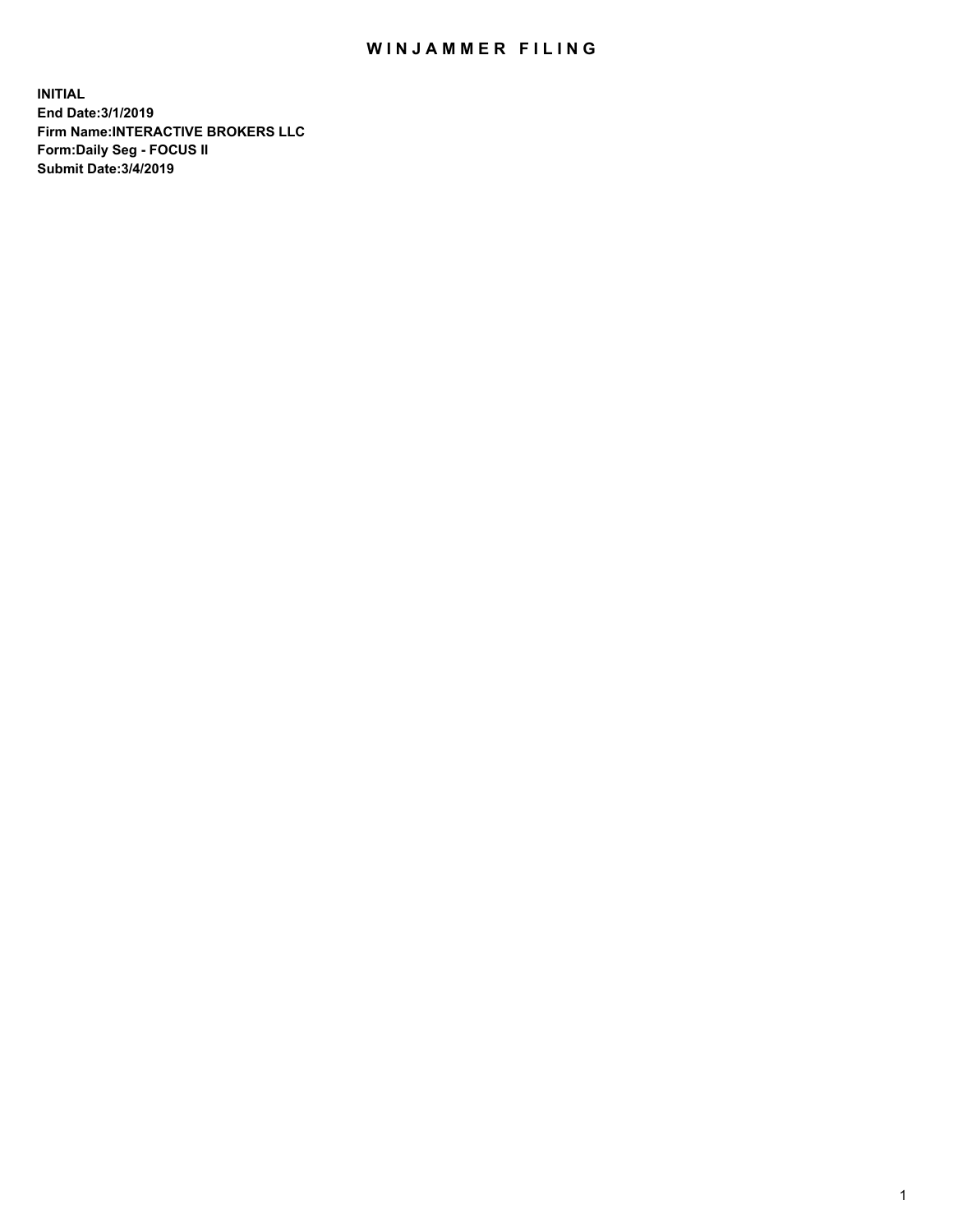## WIN JAMMER FILING

**INITIAL End Date:3/1/2019 Firm Name:INTERACTIVE BROKERS LLC Form:Daily Seg - FOCUS II Submit Date:3/4/2019**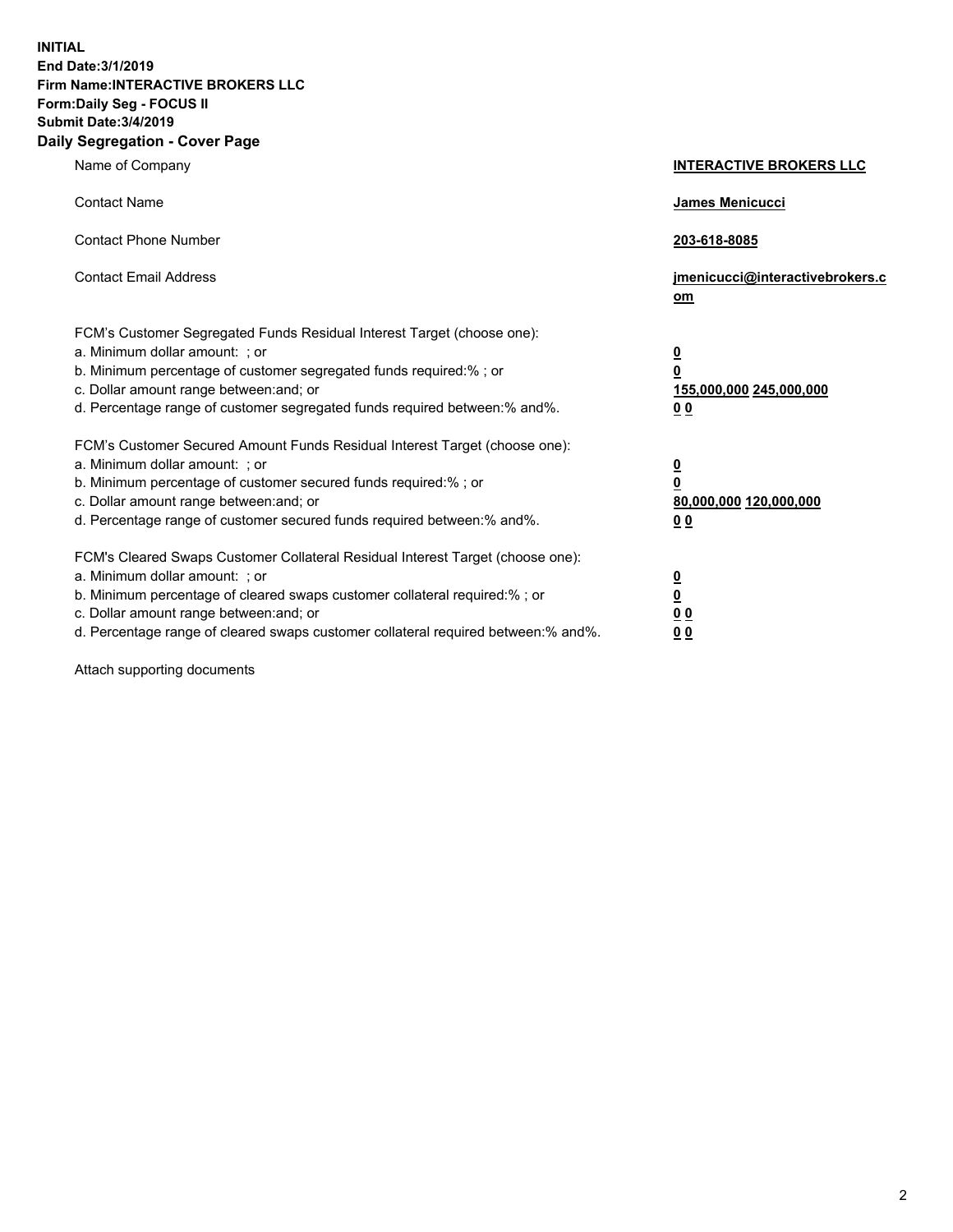**INITIAL End Date:3/1/2019 Firm Name:INTERACTIVE BROKERS LLC Form:Daily Seg - FOCUS II Submit Date:3/4/2019 Daily Segregation - Cover Page**

| Name of Company                                                                                                                                                                                                                                                                                                                | <b>INTERACTIVE BROKERS LLC</b>                                                                  |
|--------------------------------------------------------------------------------------------------------------------------------------------------------------------------------------------------------------------------------------------------------------------------------------------------------------------------------|-------------------------------------------------------------------------------------------------|
| <b>Contact Name</b>                                                                                                                                                                                                                                                                                                            | James Menicucci                                                                                 |
| <b>Contact Phone Number</b>                                                                                                                                                                                                                                                                                                    | 203-618-8085                                                                                    |
| <b>Contact Email Address</b>                                                                                                                                                                                                                                                                                                   | jmenicucci@interactivebrokers.c<br>om                                                           |
| FCM's Customer Segregated Funds Residual Interest Target (choose one):<br>a. Minimum dollar amount: : or<br>b. Minimum percentage of customer segregated funds required:% ; or<br>c. Dollar amount range between: and; or<br>d. Percentage range of customer segregated funds required between:% and%.                         | $\overline{\mathbf{0}}$<br>$\overline{\mathbf{0}}$<br>155,000,000 245,000,000<br>0 <sub>0</sub> |
| FCM's Customer Secured Amount Funds Residual Interest Target (choose one):<br>a. Minimum dollar amount: ; or<br>b. Minimum percentage of customer secured funds required:% ; or<br>c. Dollar amount range between: and; or<br>d. Percentage range of customer secured funds required between:% and%.                           | $\overline{\mathbf{0}}$<br>$\overline{\mathbf{0}}$<br>80,000,000 120,000,000<br>0 <sub>0</sub>  |
| FCM's Cleared Swaps Customer Collateral Residual Interest Target (choose one):<br>a. Minimum dollar amount: ; or<br>b. Minimum percentage of cleared swaps customer collateral required:% ; or<br>c. Dollar amount range between: and; or<br>d. Percentage range of cleared swaps customer collateral required between:% and%. | $\overline{\mathbf{0}}$<br><u>0</u><br>0 <sub>0</sub><br>0 <sub>0</sub>                         |

Attach supporting documents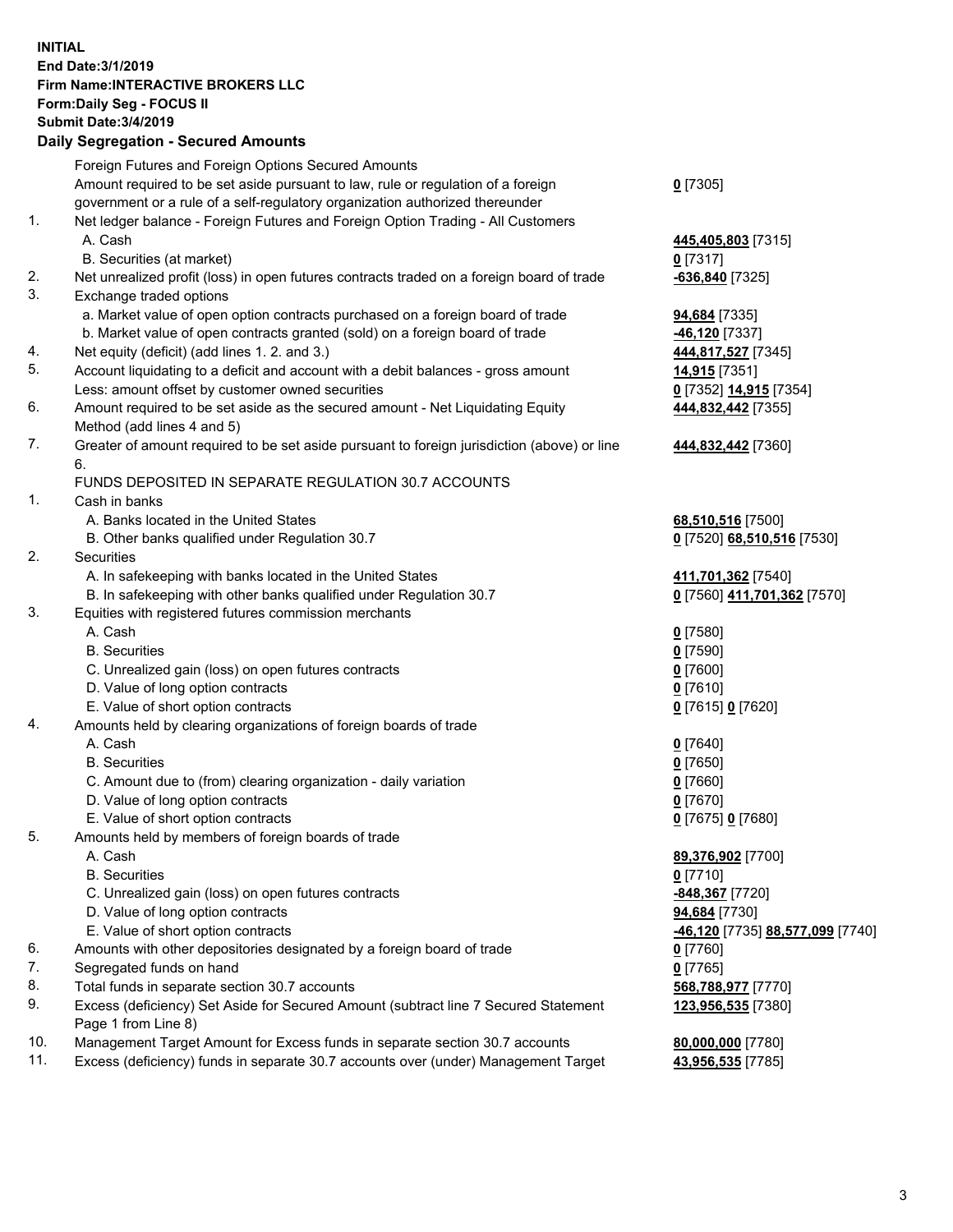## **INITIAL End Date:3/1/2019 Firm Name:INTERACTIVE BROKERS LLC Form:Daily Seg - FOCUS II Submit Date:3/4/2019 Daily Segregation - Secured Amounts**

|     | 2011, Ocgi ogation - Oceaned Anioanita                                                      |                                                              |
|-----|---------------------------------------------------------------------------------------------|--------------------------------------------------------------|
|     | Foreign Futures and Foreign Options Secured Amounts                                         |                                                              |
|     | Amount required to be set aside pursuant to law, rule or regulation of a foreign            | $0$ [7305]                                                   |
|     | government or a rule of a self-regulatory organization authorized thereunder                |                                                              |
| 1.  | Net ledger balance - Foreign Futures and Foreign Option Trading - All Customers             |                                                              |
|     | A. Cash                                                                                     | 445,405,803 [7315]                                           |
|     | B. Securities (at market)                                                                   | $0$ [7317]                                                   |
| 2.  | Net unrealized profit (loss) in open futures contracts traded on a foreign board of trade   | -636,840 [7325]                                              |
| 3.  | Exchange traded options                                                                     |                                                              |
|     | a. Market value of open option contracts purchased on a foreign board of trade              | <b>94,684</b> [7335]                                         |
|     | b. Market value of open contracts granted (sold) on a foreign board of trade                | -46,120 [7337]                                               |
| 4.  | Net equity (deficit) (add lines 1. 2. and 3.)                                               | 444,817,527 [7345]                                           |
| 5.  | Account liquidating to a deficit and account with a debit balances - gross amount           | 14,915 [7351]                                                |
|     | Less: amount offset by customer owned securities                                            | 0 [7352] 14,915 [7354]                                       |
| 6.  | Amount required to be set aside as the secured amount - Net Liquidating Equity              | 444,832,442 [7355]                                           |
|     | Method (add lines 4 and 5)                                                                  |                                                              |
| 7.  | Greater of amount required to be set aside pursuant to foreign jurisdiction (above) or line | 444,832,442 [7360]                                           |
|     | 6.                                                                                          |                                                              |
|     | FUNDS DEPOSITED IN SEPARATE REGULATION 30.7 ACCOUNTS                                        |                                                              |
| 1.  | Cash in banks                                                                               |                                                              |
|     | A. Banks located in the United States                                                       | 68,510,516 [7500]                                            |
|     | B. Other banks qualified under Regulation 30.7                                              | 0 [7520] 68,510,516 [7530]                                   |
| 2.  | Securities                                                                                  |                                                              |
|     | A. In safekeeping with banks located in the United States                                   | 411,701,362 [7540]                                           |
|     | B. In safekeeping with other banks qualified under Regulation 30.7                          | 0 [7560] 411,701,362 [7570]                                  |
| 3.  | Equities with registered futures commission merchants                                       |                                                              |
|     | A. Cash                                                                                     | $0$ [7580]                                                   |
|     | <b>B.</b> Securities                                                                        | $0$ [7590]                                                   |
|     | C. Unrealized gain (loss) on open futures contracts                                         | $0$ [7600]                                                   |
|     | D. Value of long option contracts                                                           | $0$ [7610]                                                   |
|     | E. Value of short option contracts                                                          | 0 [7615] 0 [7620]                                            |
| 4.  | Amounts held by clearing organizations of foreign boards of trade                           |                                                              |
|     | A. Cash                                                                                     | $0$ [7640]                                                   |
|     | <b>B.</b> Securities                                                                        | $0$ [7650]                                                   |
|     | C. Amount due to (from) clearing organization - daily variation                             | $0$ [7660]                                                   |
|     | D. Value of long option contracts                                                           | 0 [7670]                                                     |
|     | E. Value of short option contracts                                                          | 0 [7675] 0 [7680]                                            |
| 5.  | Amounts held by members of foreign boards of trade                                          |                                                              |
|     | A. Cash                                                                                     | 89,376,902 [7700]                                            |
|     | <b>B.</b> Securities                                                                        | $0$ [7710]                                                   |
|     | C. Unrealized gain (loss) on open futures contracts                                         | -848,367 [7720]                                              |
|     | D. Value of long option contracts                                                           | 94,684 [7730]                                                |
|     | E. Value of short option contracts                                                          | <mark>-46,120</mark> [7735] <u>88,<b>577,099</b> [</u> 7740] |
| 6.  | Amounts with other depositories designated by a foreign board of trade                      | 0 [7760]                                                     |
| 7.  | Segregated funds on hand                                                                    | $0$ [7765]                                                   |
| 8.  | Total funds in separate section 30.7 accounts                                               | 568,788,977 [7770]                                           |
| 9.  | Excess (deficiency) Set Aside for Secured Amount (subtract line 7 Secured Statement         | 123,956,535 [7380]                                           |
|     | Page 1 from Line 8)                                                                         |                                                              |
| 10. | Management Target Amount for Excess funds in separate section 30.7 accounts                 | 80,000,000 [7780]                                            |
| 11. | Excess (deficiency) funds in separate 30.7 accounts over (under) Management Target          | 43,956,535 [7785]                                            |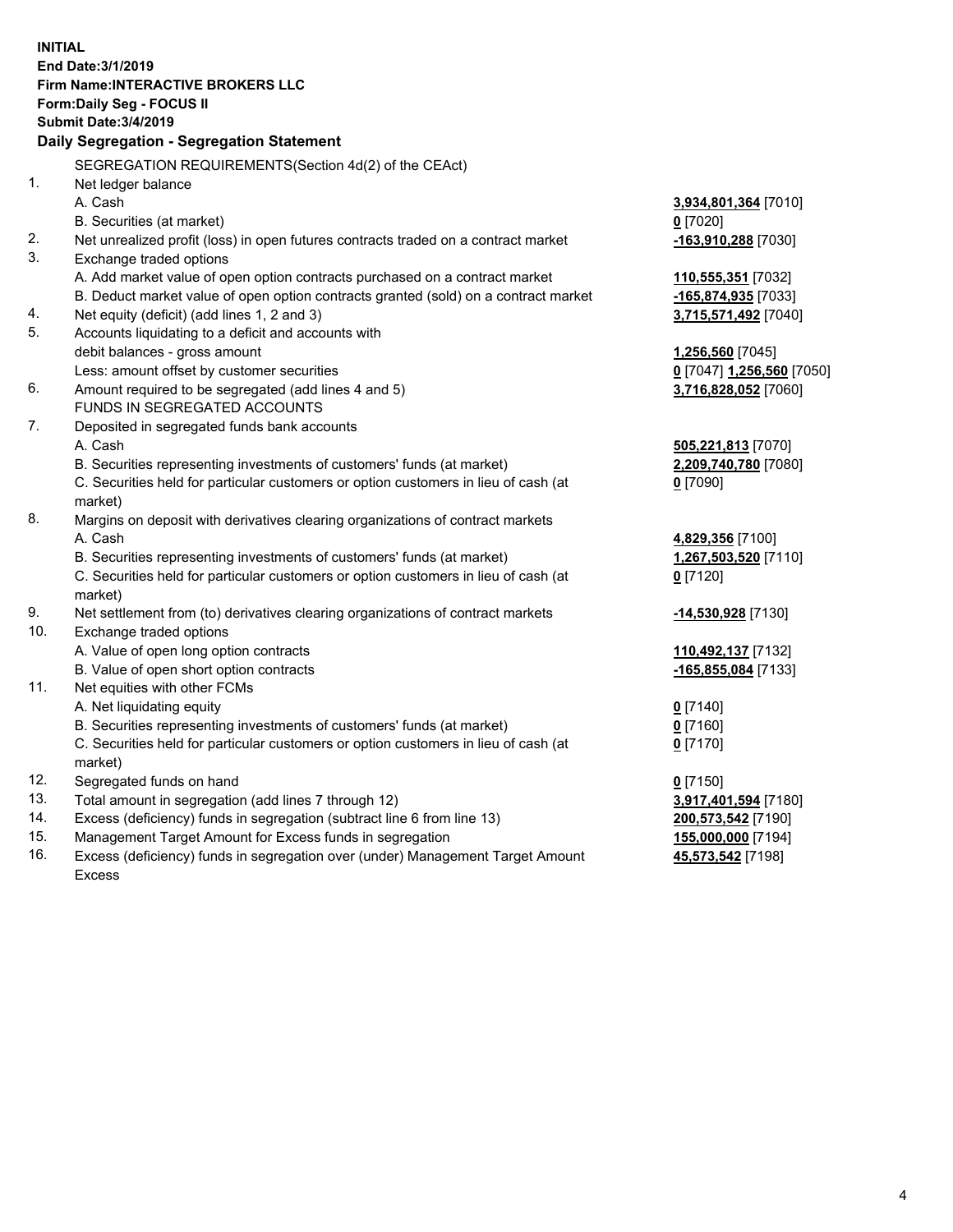|     | <b>INITIAL</b>                                                                                      |                           |
|-----|-----------------------------------------------------------------------------------------------------|---------------------------|
|     | End Date: 3/1/2019                                                                                  |                           |
|     | Firm Name: INTERACTIVE BROKERS LLC                                                                  |                           |
|     | Form: Daily Seg - FOCUS II                                                                          |                           |
|     | <b>Submit Date: 3/4/2019</b>                                                                        |                           |
|     | Daily Segregation - Segregation Statement                                                           |                           |
|     | SEGREGATION REQUIREMENTS(Section 4d(2) of the CEAct)                                                |                           |
| 1.  | Net ledger balance                                                                                  |                           |
|     | A. Cash                                                                                             | 3,934,801,364 [7010]      |
|     | B. Securities (at market)                                                                           | $0$ [7020]                |
| 2.  | Net unrealized profit (loss) in open futures contracts traded on a contract market                  | -163,910,288 [7030]       |
| 3.  | Exchange traded options                                                                             |                           |
|     | A. Add market value of open option contracts purchased on a contract market                         | 110,555,351 [7032]        |
|     | B. Deduct market value of open option contracts granted (sold) on a contract market                 | -165,874,935 [7033]       |
| 4.  | Net equity (deficit) (add lines 1, 2 and 3)                                                         | 3,715,571,492 [7040]      |
| 5.  | Accounts liquidating to a deficit and accounts with                                                 |                           |
|     | debit balances - gross amount                                                                       | 1,256,560 [7045]          |
|     | Less: amount offset by customer securities                                                          | 0 [7047] 1,256,560 [7050] |
| 6.  | Amount required to be segregated (add lines 4 and 5)                                                | 3,716,828,052 [7060]      |
|     | FUNDS IN SEGREGATED ACCOUNTS                                                                        |                           |
| 7.  | Deposited in segregated funds bank accounts                                                         |                           |
|     | A. Cash                                                                                             | 505,221,813 [7070]        |
|     | B. Securities representing investments of customers' funds (at market)                              | 2,209,740,780 [7080]      |
|     | C. Securities held for particular customers or option customers in lieu of cash (at                 | $0$ [7090]                |
|     | market)                                                                                             |                           |
| 8.  | Margins on deposit with derivatives clearing organizations of contract markets                      |                           |
|     | A. Cash                                                                                             | 4,829,356 [7100]          |
|     | B. Securities representing investments of customers' funds (at market)                              | 1,267,503,520 [7110]      |
|     | C. Securities held for particular customers or option customers in lieu of cash (at                 | $0$ [7120]                |
|     | market)                                                                                             |                           |
| 9.  | Net settlement from (to) derivatives clearing organizations of contract markets                     | -14,530,928 [7130]        |
| 10. | Exchange traded options                                                                             |                           |
|     | A. Value of open long option contracts                                                              | 110,492,137 [7132]        |
|     | B. Value of open short option contracts                                                             | -165,855,084 [7133]       |
| 11. | Net equities with other FCMs                                                                        |                           |
|     | A. Net liquidating equity<br>B. Securities representing investments of customers' funds (at market) | $0$ [7140]                |
|     |                                                                                                     | $0$ [7160]                |
|     | C. Securities held for particular customers or option customers in lieu of cash (at<br>market)      | $0$ [7170]                |
| 12. | Segregated funds on hand                                                                            | $0$ [7150]                |
| 13. | Total amount in segregation (add lines 7 through 12)                                                | 3,917,401,594 [7180]      |
| 14. | Excess (deficiency) funds in segregation (subtract line 6 from line 13)                             | 200,573,542 [7190]        |
| 15. | Management Target Amount for Excess funds in segregation                                            | 155,000,000 [7194]        |
| 16. | Excess (deficiency) funds in segregation over (under) Management Target Amount                      | 45,573,542 [7198]         |

Excess